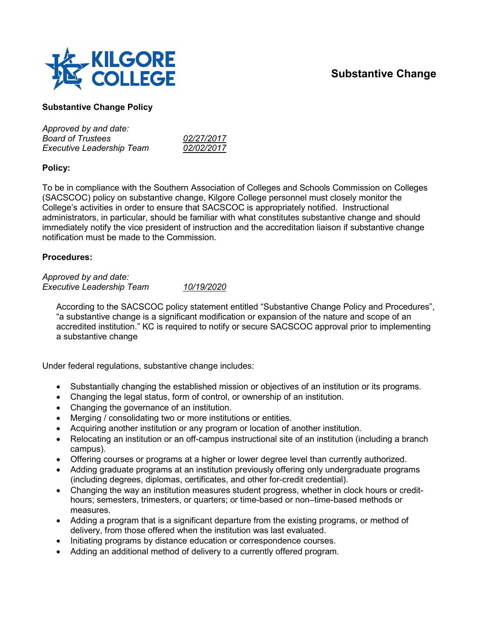## **Substantive Change**



## **Substantive Change Policy**

| 02/27/2017 |
|------------|
| 02/02/2017 |
|            |

## **Policy:**

To be in compliance with the Southern Association of Colleges and Schools Commission on Colleges (SACSCOC) policy on substantive change, Kilgore College personnel must closely monitor the College's activities in order to ensure that SACSCOC is appropriately notified. Instructional administrators, in particular, should be familiar with what constitutes substantive change and should immediately notify the vice president of instruction and the accreditation liaison if substantive change notification must be made to the Commission.

## **Procedures:**

*Approved by and date: Executive Leadership Team 10/19/2020*

According to the SACSCOC policy statement entitled "Substantive Change Policy and Procedures", "a substantive change is a significant modification or expansion of the nature and scope of an accredited institution." KC is required to notify or secure SACSCOC approval prior to implementing a substantive change

Under federal regulations, substantive change includes:

- Substantially changing the established mission or objectives of an institution or its programs.
- Changing the legal status, form of control, or ownership of an institution.
- Changing the governance of an institution.
- Merging / consolidating two or more institutions or entities.
- Acquiring another institution or any program or location of another institution.
- Relocating an institution or an off-campus instructional site of an institution (including a branch campus).
- Offering courses or programs at a higher or lower degree level than currently authorized.
- Adding graduate programs at an institution previously offering only undergraduate programs (including degrees, diplomas, certificates, and other for-credit credential).
- Changing the way an institution measures student progress, whether in clock hours or credithours; semesters, trimesters, or quarters; or time-based or non–time-based methods or measures.
- Adding a program that is a significant departure from the existing programs, or method of delivery, from those offered when the institution was last evaluated.
- Initiating programs by distance education or correspondence courses.
- Adding an additional method of delivery to a currently offered program.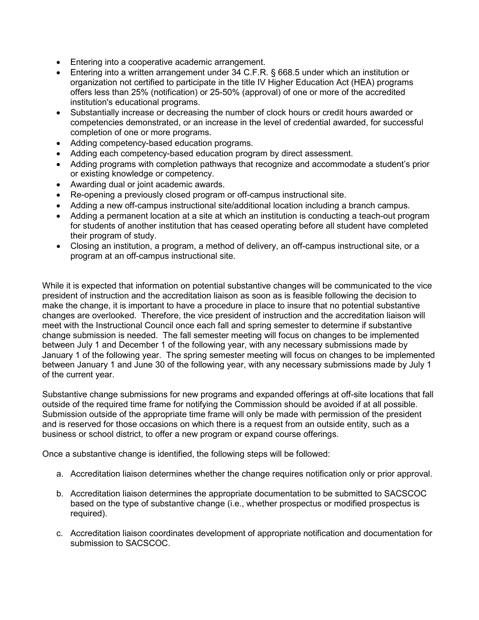- Entering into a cooperative academic arrangement.
- Entering into a written arrangement under 34 C.F.R. § 668.5 under which an institution or organization not certified to participate in the title IV Higher Education Act (HEA) programs offers less than 25% (notification) or 25-50% (approval) of one or more of the accredited institution's educational programs.
- Substantially increase or decreasing the number of clock hours or credit hours awarded or competencies demonstrated, or an increase in the level of credential awarded, for successful completion of one or more programs.
- Adding competency-based education programs.
- Adding each competency-based education program by direct assessment.
- Adding programs with completion pathways that recognize and accommodate a student's prior or existing knowledge or competency.
- Awarding dual or joint academic awards.
- Re-opening a previously closed program or off-campus instructional site.
- Adding a new off-campus instructional site/additional location including a branch campus.
- Adding a permanent location at a site at which an institution is conducting a teach-out program for students of another institution that has ceased operating before all student have completed their program of study.
- Closing an institution, a program, a method of delivery, an off-campus instructional site, or a program at an off-campus instructional site.

While it is expected that information on potential substantive changes will be communicated to the vice president of instruction and the accreditation liaison as soon as is feasible following the decision to make the change, it is important to have a procedure in place to insure that no potential substantive changes are overlooked. Therefore, the vice president of instruction and the accreditation liaison will meet with the Instructional Council once each fall and spring semester to determine if substantive change submission is needed. The fall semester meeting will focus on changes to be implemented between July 1 and December 1 of the following year, with any necessary submissions made by January 1 of the following year. The spring semester meeting will focus on changes to be implemented between January 1 and June 30 of the following year, with any necessary submissions made by July 1 of the current year.

Substantive change submissions for new programs and expanded offerings at off-site locations that fall outside of the required time frame for notifying the Commission should be avoided if at all possible. Submission outside of the appropriate time frame will only be made with permission of the president and is reserved for those occasions on which there is a request from an outside entity, such as a business or school district, to offer a new program or expand course offerings.

Once a substantive change is identified, the following steps will be followed:

- a. Accreditation liaison determines whether the change requires notification only or prior approval.
- b. Accreditation liaison determines the appropriate documentation to be submitted to SACSCOC based on the type of substantive change (i.e., whether prospectus or modified prospectus is required).
- c. Accreditation liaison coordinates development of appropriate notification and documentation for submission to SACSCOC.